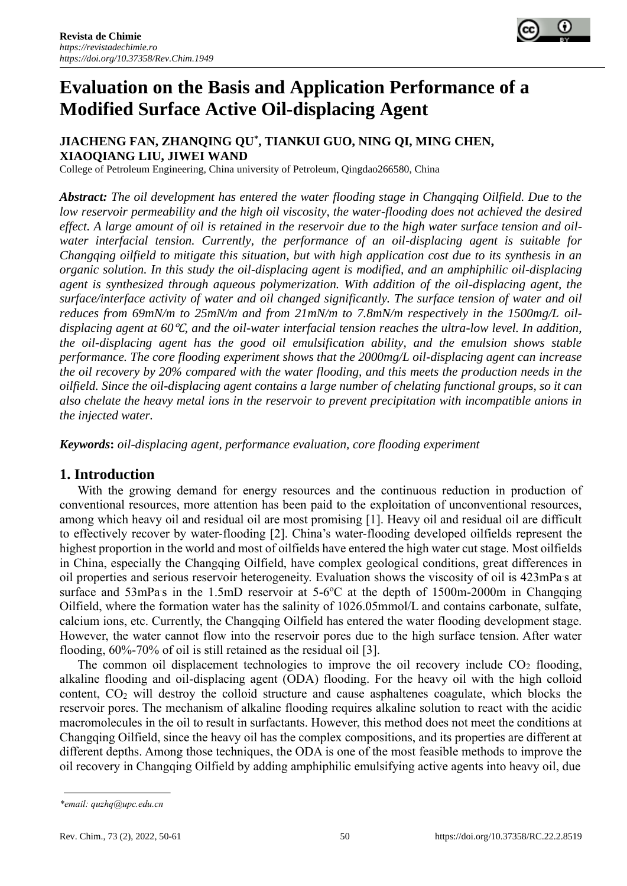

# **Evaluation on the Basis and Application Performance of a Modified Surface Active Oil-displacing Agent**

## **JIACHENG FAN, ZHANQING QU\* , TIANKUI GUO, NING QI, MING CHEN, XIAOQIANG LIU, JIWEI WAND**

College of Petroleum Engineering, China university of Petroleum, Qingdao266580, China

*Abstract: The oil development has entered the water flooding stage in Changqing Oilfield. Due to the*  low reservoir permeability and the high oil viscosity, the water-flooding does not achieved the desired *effect. A large amount of oil is retained in the reservoir due to the high water surface tension and oilwater interfacial tension. Currently, the performance of an oil-displacing agent is suitable for Changqing oilfield to mitigate this situation, but with high application cost due to its synthesis in an organic solution. In this study the oil-displacing agent is modified, and an amphiphilic oil-displacing agent is synthesized through aqueous polymerization. With addition of the oil-displacing agent, the surface/interface activity of water and oil changed significantly. The surface tension of water and oil*  reduces from 69mN/m to 25mN/m and from 21mN/m to 7.8mN/m respectively in the 1500mg/L oil*displacing agent at 60*℃*, and the oil-water interfacial tension reaches the ultra-low level. In addition, the oil-displacing agent has the good oil emulsification ability, and the emulsion shows stable performance. The core flooding experiment shows that the 2000mg/L oil-displacing agent can increase the oil recovery by 20% compared with the water flooding, and this meets the production needs in the oilfield. Since the oil-displacing agent contains a large number of chelating functional groups, so it can also chelate the heavy metal ions in the reservoir to prevent precipitation with incompatible anions in the injected water.*

*Keywords***:** *oil-displacing agent, performance evaluation, core flooding experiment*

## **1. Introduction**

With the growing demand for energy resources and the continuous reduction in production of conventional resources, more attention has been paid to the exploitation of unconventional resources, among which heavy oil and residual oil are most promising [1]. Heavy oil and residual oil are difficult to effectively recover by water-flooding [2]. China's water-flooding developed oilfields represent the highest proportion in the world and most of oilfields have entered the high water cut stage. Most oilfields in China, especially the Changqing Oilfield, have complex geological conditions, great differences in oil properties and serious reservoir heterogeneity. Evaluation shows the viscosity of oil is 423mPa s at surface and 53mPas in the 1.5mD reservoir at 5-6°C at the depth of 1500m-2000m in Changqing Oilfield, where the formation water has the salinity of 1026.05mmol/L and contains carbonate, sulfate, calcium ions, etc. Currently, the Changqing Oilfield has entered the water flooding development stage. However, the water cannot flow into the reservoir pores due to the high surface tension. After water flooding, 60%-70% of oil is still retained as the residual oil [3].

The common oil displacement technologies to improve the oil recovery include  $CO<sub>2</sub>$  flooding, alkaline flooding and oil-displacing agent (ODA) flooding. For the heavy oil with the high colloid content,  $CO<sub>2</sub>$  will destroy the colloid structure and cause asphaltenes coagulate, which blocks the reservoir pores. The mechanism of alkaline flooding requires alkaline solution to react with the acidic macromolecules in the oil to result in surfactants. However, this method does not meet the conditions at Changqing Oilfield, since the heavy oil has the complex compositions, and its properties are different at different depths. Among those techniques, the ODA is one of the most feasible methods to improve the oil recovery in Changqing Oilfield by adding amphiphilic emulsifying active agents into heavy oil, due

*<sup>\*</sup>email: quzhq@upc.edu.cn*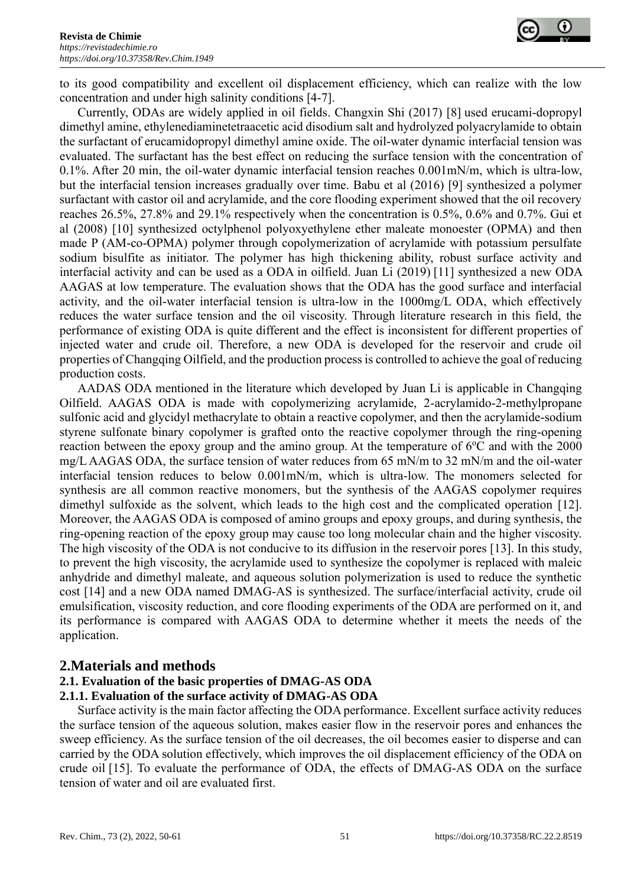

to its good compatibility and excellent oil displacement efficiency, which can realize with the low concentration and under high salinity conditions [4-7].

Currently, ODAs are widely applied in oil fields. Changxin Shi (2017) [8] used erucami-dopropyl dimethyl amine, ethylenediaminetetraacetic acid disodium salt and hydrolyzed polyacrylamide to obtain the surfactant of erucamidopropyl dimethyl amine oxide. The oil-water dynamic interfacial tension was evaluated. The surfactant has the best effect on reducing the surface tension with the concentration of 0.1%. After 20 min, the oil-water dynamic interfacial tension reaches 0.001mN/m, which is ultra-low, but the interfacial tension increases gradually over time. Babu et al (2016) [9] synthesized a polymer surfactant with castor oil and acrylamide, and the core flooding experiment showed that the oil recovery reaches 26.5%, 27.8% and 29.1% respectively when the concentration is 0.5%, 0.6% and 0.7%. Gui et al (2008) [10] synthesized octylphenol polyoxyethylene ether maleate monoester (OPMA) and then made P (AM-co-OPMA) polymer through copolymerization of acrylamide with potassium persulfate sodium bisulfite as initiator. The polymer has high thickening ability, robust surface activity and interfacial activity and can be used as a ODA in oilfield. Juan Li (2019) [11] synthesized a new ODA AAGAS at low temperature. The evaluation shows that the ODA has the good surface and interfacial activity, and the oil-water interfacial tension is ultra-low in the 1000mg/L ODA, which effectively reduces the water surface tension and the oil viscosity. Through literature research in this field, the performance of existing ODA is quite different and the effect is inconsistent for different properties of injected water and crude oil. Therefore, a new ODA is developed for the reservoir and crude oil properties of Changqing Oilfield, and the production process is controlled to achieve the goal of reducing production costs.

AADAS ODA mentioned in the literature which developed by Juan Li is applicable in Changqing Oilfield. AAGAS ODA is made with copolymerizing acrylamide, 2-acrylamido-2-methylpropane sulfonic acid and glycidyl methacrylate to obtain a reactive copolymer, and then the acrylamide-sodium styrene sulfonate binary copolymer is grafted onto the reactive copolymer through the ring-opening reaction between the epoxy group and the amino group. At the temperature of  $6^{\circ}$ C and with the 2000 mg/L AAGAS ODA, the surface tension of water reduces from 65 mN/m to 32 mN/m and the oil-water interfacial tension reduces to below 0.001mN/m, which is ultra-low. The monomers selected for synthesis are all common reactive monomers, but the synthesis of the AAGAS copolymer requires dimethyl sulfoxide as the solvent, which leads to the high cost and the complicated operation [12]. Moreover, the AAGAS ODA is composed of amino groups and epoxy groups, and during synthesis, the ring-opening reaction of the epoxy group may cause too long molecular chain and the higher viscosity. The high viscosity of the ODA is not conducive to its diffusion in the reservoir pores [13]. In this study, to prevent the high viscosity, the acrylamide used to synthesize the copolymer is replaced with maleic anhydride and dimethyl maleate, and aqueous solution polymerization is used to reduce the synthetic cost [14] and a new ODA named DMAG-AS is synthesized. The surface/interfacial activity, crude oil emulsification, viscosity reduction, and core flooding experiments of the ODA are performed on it, and its performance is compared with AAGAS ODA to determine whether it meets the needs of the application.

## **2.Materials and methods**

# **2.1. Evaluation of the basic properties of DMAG-AS ODA**

#### **2.1.1. Evaluation of the surface activity of DMAG-AS ODA**

Surface activity is the main factor affecting the ODA performance. Excellent surface activity reduces the surface tension of the aqueous solution, makes easier flow in the reservoir pores and enhances the sweep efficiency. As the surface tension of the oil decreases, the oil becomes easier to disperse and can carried by the ODA solution effectively, which improves the oil displacement efficiency of the ODA on crude oil [15]. To evaluate the performance of ODA, the effects of DMAG-AS ODA on the surface tension of water and oil are evaluated first.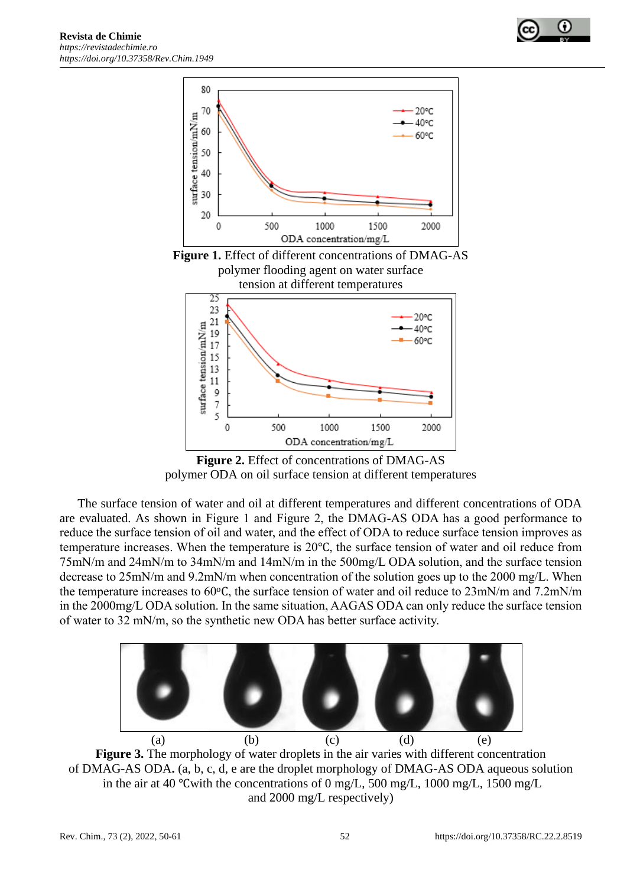



ODA concentration/mg/L **Figure 2.** Effect of concentrations of DMAG-AS polymer ODA on oil surface tension at different temperatures

1000

1500

2000

500

0

The surface tension of water and oil at different temperatures and different concentrations of ODA are evaluated. As shown in Figure 1 and Figure 2, the DMAG-AS ODA has a good performance to reduce the surface tension of oil and water, and the effect of ODA to reduce surface tension improves as temperature increases. When the temperature is 20℃, the surface tension of water and oil reduce from 75mN/m and 24mN/m to 34mN/m and 14mN/m in the 500mg/L ODA solution, and the surface tension [decrease](javascript:;) [to](javascript:;) 25mN/m and 9.2mN/m when concentration of the solution goes up to the 2000 mg/L. When the temperature increases to 60oC, the surface tension of water and oil reduce to 23mN/m and 7.2mN/m in the 2000mg/L ODA solution. In the same situation, AAGAS ODA can only reduce the surface tension of water to 32 mN/m, so the synthetic new ODA has better surface activity.





and 2000 mg/L respectively)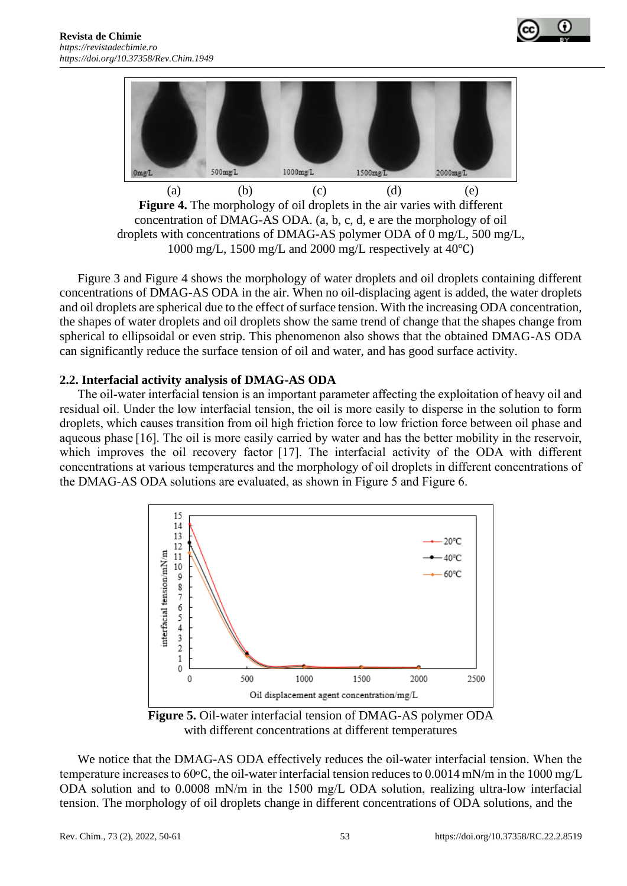



**Figure 4.** The morphology of oil droplets in the air varies with different concentration of DMAG-AS ODA. (a, b, c, d, e are the morphology of oil droplets with concentrations of DMAG-AS polymer ODA of 0 mg/L, 500 mg/L, 1000 mg/L, 1500 mg/L and 2000 mg/L respectively at 40℃)

Figure 3 and Figure 4 shows the morphology of water droplets and oil droplets containing different concentrations of DMAG-AS ODA in the air. When no oil-displacing agent is added, the water droplets and oil droplets are spherical due to the effect of surface tension. With the increasing ODA concentration, the shapes of water droplets and oil droplets show the same trend of change that the shapes change from spherical to ellipsoidal or even strip. This phenomenon also shows that the obtained DMAG-AS ODA can significantly reduce the surface tension of oil and water, and has good surface activity.

#### **2.2. Interfacial activity analysis of DMAG-AS ODA**

The oil-water interfacial tension is an important parameter affecting the exploitation of heavy oil and residual oil. Under the low interfacial tension, the oil is more easily to disperse in the solution to form droplets, which causes transition from oil high friction force to low friction force between oil phase and aqueous phase [16]. The oil is more easily carried by water and has the better mobility in the reservoir, which improves the oil recovery factor [17]. The interfacial activity of the ODA with different concentrations at various temperatures and the morphology of oil droplets in different concentrations of the DMAG-AS ODA solutions are evaluated, as shown in Figure 5 and Figure 6.



**Figure 5.** Oil-water interfacial tension of DMAG-AS polymer ODA with different concentrations at different temperatures

We notice that the DMAG-AS ODA effectively reduces the oil-water interfacial tension. When the temperature increases to 60 $\degree$ C, the oil-water interfacial tension reduces to 0.0014 mN/m in the 1000 mg/L ODA solution and to 0.0008 mN/m in the 1500 mg/L ODA solution, realizing ultra-low interfacial tension. The morphology of oil droplets change in different concentrations of ODA solutions, and the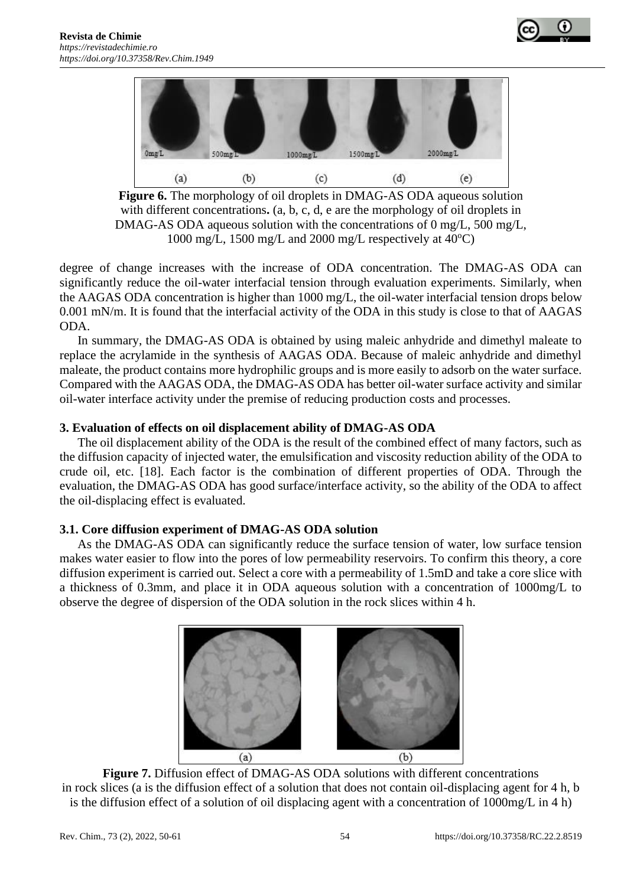



**Figure 6.** The morphology of oil droplets in DMAG-AS ODA aqueous solution with different concentrations.  $(a, b, c, d, e$  are the morphology of oil droplets in DMAG-AS ODA aqueous solution with the concentrations of 0 mg/L, 500 mg/L, 1000 mg/L, 1500 mg/L and 2000 mg/L respectively at  $40^{\circ}$ C)

degree of change increases with the increase of ODA concentration. The DMAG-AS ODA can significantly reduce the oil-water interfacial tension through evaluation experiments. Similarly, when the AAGAS ODA concentration is higher than 1000 mg/L, the oil-water interfacial tension drops below 0.001 mN/m. It is found that the interfacial activity of the ODA in this study is close to that of AAGAS ODA.

In summary, the DMAG-AS ODA is obtained by using maleic anhydride and dimethyl maleate to replace the acrylamide in the synthesis of AAGAS ODA. Because of maleic anhydride and dimethyl maleate, the product contains more hydrophilic groups and is more easily to adsorb on the water surface. Compared with the AAGAS ODA, the DMAG-AS ODA has better oil-water surface activity and similar oil-water interface activity under the premise of reducing production costs and processes.

## **3. Evaluation of effects on oil displacement ability of DMAG-AS ODA**

The oil displacement ability of the ODA is the result of the combined effect of many factors, such as the diffusion capacity of injected water, the emulsification and viscosity reduction ability of the ODA to crude oil, etc. [18]. Each factor is the combination of different properties of ODA. Through the evaluation, the DMAG-AS ODA has good surface/interface activity, so the ability of the ODA to affect the oil-displacing effect is evaluated.

## **3.1. Core diffusion experiment of DMAG-AS ODA solution**

As the DMAG-AS ODA can significantly reduce the surface tension of water, low surface tension makes water easier to flow into the pores of low permeability reservoirs. To confirm this theory, a core diffusion experiment is carried out. Select a core with a permeability of 1.5mD and take a core slice with a thickness of 0.3mm, and place it in ODA aqueous solution with a concentration of 1000mg/L to observe the degree of dispersion of the ODA solution in the rock slices within 4 h.



**Figure 7.** Diffusion effect of DMAG-AS ODA solutions with different concentrations in rock slices (a is the diffusion effect of a solution that does not contain oil-displacing agent for 4 h, b is the diffusion effect of a solution of oil displacing agent with a concentration of 1000mg/L in 4 h)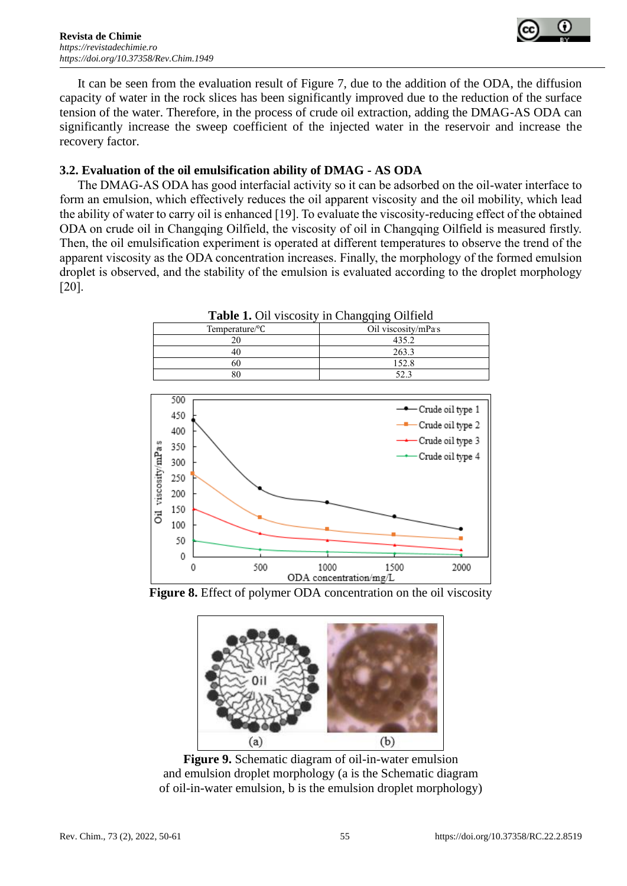

It can be seen from the evaluation result of Figure 7, due to the addition of the ODA, the diffusion capacity of water in the rock slices has been significantly improved due to the reduction of the surface tension of the water. Therefore, in the process of crude oil extraction, adding the DMAG-AS ODA can significantly increase the sweep coefficient of the injected water in the reservoir and increase the recovery factor.

#### **3.2. Evaluation of the oil emulsification ability of DMAG - AS ODA**

The DMAG-AS ODA has good interfacial activity so it can be adsorbed on the oil-water interface to form an emulsion, which effectively reduces the oil apparent viscosity and the oil mobility, which lead the ability of water to carry oil is enhanced [19]. To evaluate the viscosity-reducing effect of the obtained ODA on crude oil in Changqing Oilfield, the viscosity of oil in Changqing Oilfield is measured firstly. Then, the oil emulsification experiment is operated at different temperatures to observe the trend of the apparent viscosity as the ODA concentration increases. Finally, the morphology of the formed emulsion droplet is observed, and the stability of the emulsion is evaluated according to the droplet morphology [20].

| <b>Table 1.</b> Oil viscosity in Changqing Oilfield |                     |  |
|-----------------------------------------------------|---------------------|--|
| Temperature/ ${}^{\circ}C$                          | Oil viscosity/mPa s |  |
| 20                                                  | 435.2               |  |
| 40                                                  | 263.3               |  |
| 60                                                  | 152.8               |  |
| 80                                                  | 52 3                |  |







**Figure 9.** Schematic diagram of oil-in-water emulsion and emulsion droplet morphology (a is the Schematic diagram of oil-in-water emulsion, b is the emulsion droplet morphology)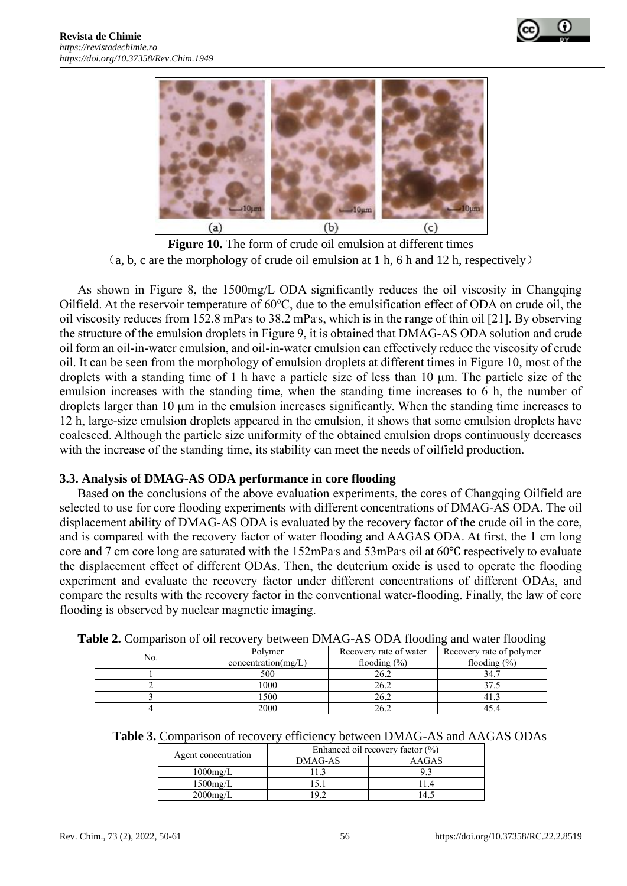



**Figure 10.** The form of crude oil emulsion at different times (a, b, c are the morphology of crude oil emulsion at 1 h, 6 h and 12 h, respectively)

As shown in Figure 8, the 1500mg/L ODA significantly reduces the oil viscosity in Changqing Oilfield. At the reservoir temperature of  $60^{\circ}$ C, due to the emulsification effect of ODA on crude oil, the oil viscosity reduces from 152.8 mPas to 38.2 mPas, which is in the range of thin oil [21]. By observing the structure of the emulsion droplets in Figure 9, it is obtained that DMAG-AS ODA solution and crude oil form an oil-in-water emulsion, and oil-in-water emulsion can effectively reduce the viscosity of crude oil. It can be seen from the morphology of emulsion droplets at different times in Figure 10, most of the droplets with a standing time of 1 h have a particle size of less than 10 μm. The particle size of the emulsion increases with the standing time, when the standing time increases to 6 h, the number of droplets larger than 10 μm in the emulsion increases significantly. When the standing time increases to 12 h, large-size emulsion droplets appeared in the emulsion, it shows that some emulsion droplets have coalesced. Although the particle size uniformity of the obtained emulsion drops continuously decreases with the increase of the standing time, its stability can meet the needs of oilfield production.

#### **3.3. Analysis of DMAG-AS ODA performance in core flooding**

Based on the conclusions of the above evaluation experiments, the cores of Changqing Oilfield are selected to use for core flooding experiments with different concentrations of DMAG-AS ODA. The oil displacement ability of DMAG-AS ODA is evaluated by the recovery factor of the crude oil in the core, and is compared with the recovery factor of water flooding and AAGAS ODA. At first, the 1 cm long core and 7 cm core long are saturated with the 152mPas and 53mPas oil at 60°C respectively to evaluate the displacement effect of different ODAs. Then, the deuterium oxide is used to operate the flooding experiment and evaluate the recovery factor under different concentrations of different ODAs, and compare the results with the recovery factor in the conventional water-flooding. Finally, the law of core flooding is observed by nuclear magnetic imaging.

| abie 2. Comparison of on recovery between DiviAO-AS ODA hooding and water hooding |                     |                        |                          |  |
|-----------------------------------------------------------------------------------|---------------------|------------------------|--------------------------|--|
| No.                                                                               | Polymer             | Recovery rate of water | Recovery rate of polymer |  |
|                                                                                   | concentration(mg/L) | flooding $(\% )$       | flooding $(\% )$         |  |
|                                                                                   | 500                 | 26.2                   | 34.7                     |  |
|                                                                                   | 1000                | 26.2                   | 37.5                     |  |
|                                                                                   | 1500                | 26.2                   | 41.3                     |  |
|                                                                                   | 2000                | 26.2                   | 45.4                     |  |

**Table 2.** Comparison of oil recovery between DMAG-AS ODA flooding and water flooding

|                     | Enhanced oil recovery factor $(\% )$ |       |  |
|---------------------|--------------------------------------|-------|--|
| Agent concentration | DMAG-AS                              | AAGAS |  |
| $1000$ mg/L         |                                      |       |  |
| $1500$ mg/L         |                                      |       |  |
| $2000$ mg/L         |                                      |       |  |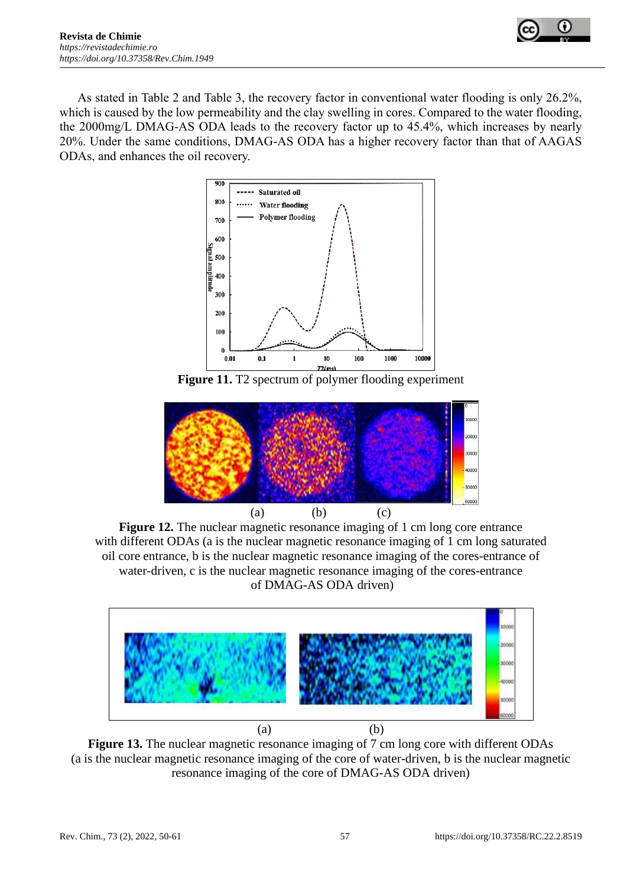



As stated in Table 2 and Table 3, the recovery factor in conventional water flooding is only 26.2%, which is caused by the low permeability and the clay swelling in cores. Compared to the water flooding, the 2000mg/L DMAG-AS ODA leads to the recovery factor up to 45.4%, which increases by nearly 20%. Under the same conditions, DMAG-AS ODA has a higher recovery factor than that of AAGAS ODAs, and enhances the oil recovery.



Figure 11. T2 spectrum of polymer flooding experiment



**Figure 12.** The nuclear magnetic resonance imaging of 1 cm long core entrance with different ODAs (a is the nuclear magnetic resonance imaging of 1 cm long saturated oil core entrance, b is the nuclear magnetic resonance imaging of the cores-entrance of water-driven, c is the nuclear magnetic resonance imaging of the cores-entrance of DMAG-AS ODA driven)



**Figure 13.** The nuclear magnetic resonance imaging of 7 cm long core with different ODAs (a is the nuclear magnetic resonance imaging of the core of water-driven, b is the nuclear magnetic resonance imaging of the core of DMAG-AS ODA driven)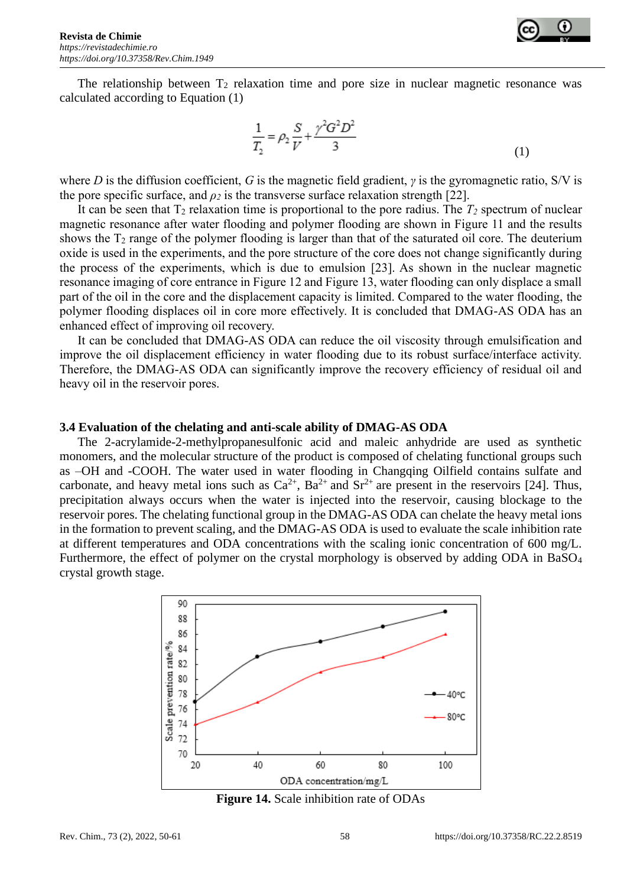

The relationship between  $T_2$  relaxation time and pore size in nuclear magnetic resonance was calculated according to Equation (1)

$$
\frac{1}{T_2} = \rho_2 \frac{S}{V} + \frac{\gamma^2 G^2 D^2}{3} \tag{1}
$$

where *D* is the diffusion coefficient, *G* is the magnetic field gradient, *γ* is the gyromagnetic ratio, S/V is the pore specific surface, and  $\rho_2$  is the transverse surface relaxation strength [22].

It can be seen that  $T_2$  relaxation time is proportional to the pore radius. The  $T_2$  spectrum of nuclear magnetic resonance after water flooding and polymer flooding are shown in Figure 11 and the results shows the  $T_2$  range of the polymer flooding is larger than that of the saturated oil core. The deuterium oxide is used in the experiments, and the pore structure of the core does not change significantly during the process of the experiments, which is due to emulsion [23]. As shown in the nuclear magnetic resonance imaging of core entrance in Figure 12 and Figure 13, water flooding can only displace a small part of the oil in the core and the displacement capacity is limited. Compared to the water flooding, the polymer flooding displaces oil in core more effectively. It is concluded that DMAG-AS ODA has an enhanced effect of improving oil recovery.

It can be concluded that DMAG-AS ODA can reduce the oil viscosity through emulsification and improve the oil displacement efficiency in water flooding due to its robust surface/interface activity. Therefore, the DMAG-AS ODA can significantly improve the recovery efficiency of residual oil and heavy oil in the reservoir pores.

#### **3.4 Evaluation of the chelating and anti-scale ability of DMAG-AS ODA**

The 2-acrylamide-2-methylpropanesulfonic acid and maleic anhydride are used as synthetic monomers, and the molecular structure of the product is composed of chelating functional groups such as –OH and -COOH. The water used in water flooding in Changqing Oilfield contains sulfate and carbonate, and heavy metal ions such as  $Ca^{2+}$ ,  $Ba^{2+}$  and  $Sr^{2+}$  are present in the reservoirs [24]. Thus, precipitation always occurs when the water is injected into the reservoir, causing blockage to the reservoir pores. The chelating functional group in the DMAG-AS ODA can chelate the heavy metal ions in the formation to prevent scaling, and the DMAG-AS ODA is used to evaluate the scale inhibition rate at different temperatures and ODA concentrations with the scaling ionic concentration of 600 mg/L. Furthermore, the effect of polymer on the crystal morphology is observed by adding ODA in BaSO<sub>4</sub> crystal growth stage.



**Figure 14.** Scale inhibition rate of ODAs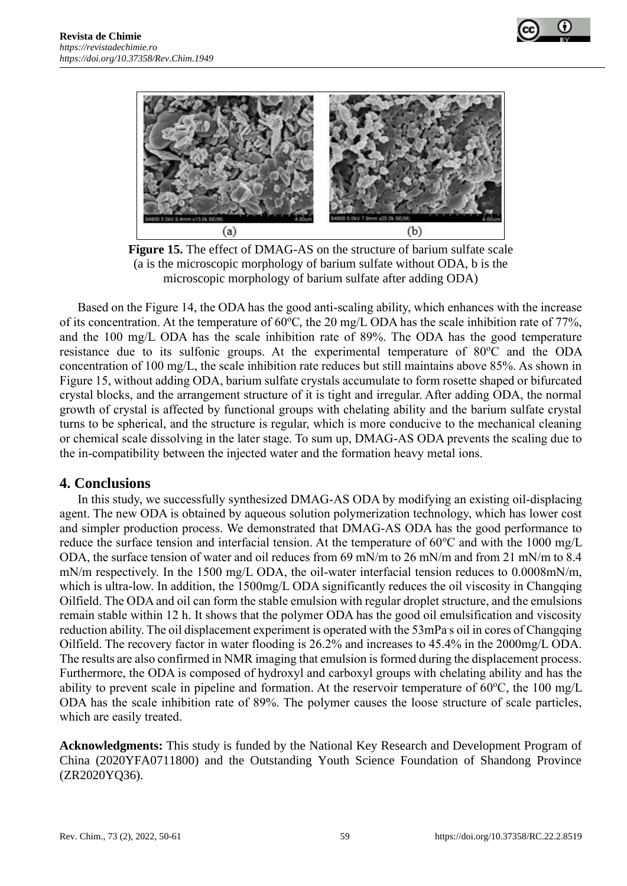



**Figure 15.** The effect of DMAG-AS on the structure of barium sulfate scale (a is the microscopic morphology of barium sulfate without ODA, b is the microscopic morphology of barium sulfate after adding ODA)

Based on the Figure 14, the ODA has the good anti-scaling ability, which enhances with the increase of its concentration. At the temperature of  $60^{\circ}$ C, the 20 mg/L ODA has the scale inhibition rate of 77%, and the 100 mg/L ODA has the scale inhibition rate of 89%. The ODA has the good temperature resistance due to its sulfonic groups. At the experimental temperature of  $80^{\circ}$ C and the ODA concentration of 100 mg/L, the scale inhibition rate reduces but still maintains above 85%. As shown in Figure 15, without adding ODA, barium sulfate crystals accumulate to form rosette shaped or bifurcated crystal blocks, and the arrangement structure of it is tight and irregular. After adding ODA, the normal growth of crystal is affected by functional groups with chelating ability and the barium sulfate crystal turns to be spherical, and the structure is regular, which is more conducive to the mechanical cleaning or chemical scale dissolving in the later stage. To sum up, DMAG-AS ODA prevents the scaling due to the in-compatibility between the injected water and the formation heavy metal ions.

## **4. Conclusions**

In this study, we successfully synthesized DMAG-AS ODA by modifying an existing oil-displacing agent. The new ODA is obtained by aqueous solution polymerization technology, which has lower cost and simpler production process. We demonstrated that DMAG-AS ODA has the good performance to reduce the surface tension and interfacial tension. At the temperature of  $60^{\circ}$ C and with the 1000 mg/L ODA, the surface tension of water and oil reduces from 69 mN/m to 26 mN/m and from 21 mN/m to 8.4 mN/m respectively. In the 1500 mg/L ODA, the oil-water interfacial tension reduces to 0.0008mN/m, which is ultra-low. In addition, the 1500mg/L ODA significantly reduces the oil viscosity in Changqing Oilfield. The ODA and oil can form the stable emulsion with regular droplet structure, and the emulsions remain stable within 12 h. It shows that the polymer ODA has the good oil emulsification and viscosity reduction ability. The oil displacement experiment is operated with the 53mPa s oil in cores of Changqing Oilfield. The recovery factor in water flooding is 26.2% and increases to 45.4% in the 2000mg/L ODA. The results are also confirmed in NMR imaging that emulsion is formed during the displacement process. Furthermore, the ODA is composed of hydroxyl and carboxyl groups with chelating ability and has the ability to prevent scale in pipeline and formation. At the reservoir temperature of  $60^{\circ}$ C, the  $100$  mg/L ODA has the scale inhibition rate of 89%. The polymer causes the loose structure of scale particles, which are easily treated.

**Acknowledgments:** This study is funded by the National Key Research and Development Program of China (2020YFA0711800) and the Outstanding Youth Science Foundation of Shandong Province (ZR2020YQ36).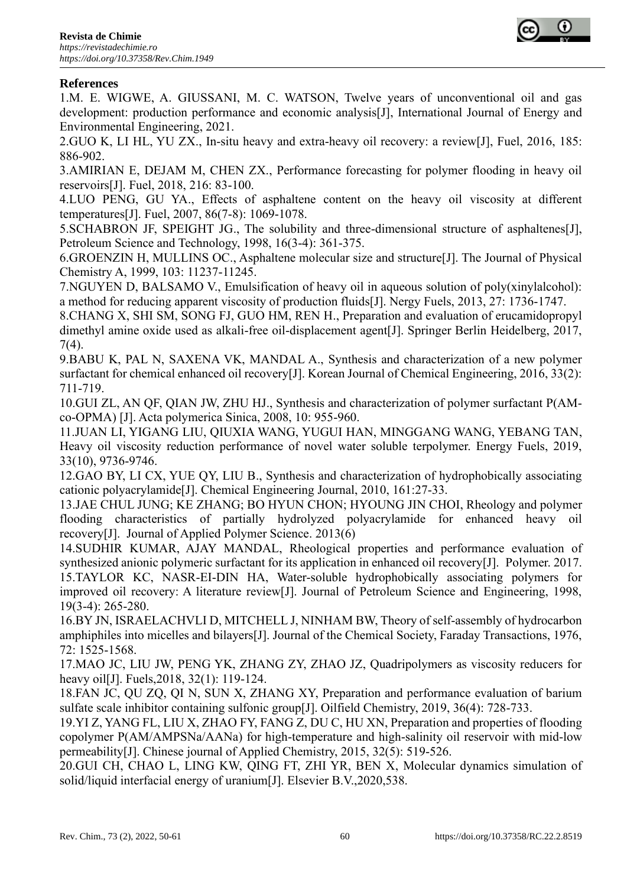

# **References**

1.M. E. WIGWE, A. GIUSSANI, M. C. WATSON, Twelve years of unconventional oil and gas development: production performance and economic analysis[J], International Journal of Energy and Environmental Engineering, 2021.

2.GUO K, LI HL, YU ZX., In-situ heavy and extra-heavy oil recovery: a review[J], Fuel, 2016, 185: 886-902.

3.AMIRIAN E, DEJAM M, CHEN ZX., Performance forecasting for polymer flooding in heavy oil reservoirs[J]. Fuel, 2018, 216: 83-100.

4.LUO PENG, GU YA., Effects of asphaltene content on the heavy oil viscosity at different temperatures[J]. Fuel, 2007, 86(7-8): 1069-1078.

5.SCHABRON JF, SPEIGHT JG., The solubility and three-dimensional structure of asphaltenes[J], Petroleum Science and Technology, 1998, 16(3-4): 361-375.

6.GROENZIN H, MULLINS OC., Asphaltene molecular size and structure[J]. The Journal of Physical Chemistry A, 1999, 103: 11237-11245.

7.NGUYEN D, BALSAMO V., Emulsification of heavy oil in aqueous solution of poly(xinylalcohol): a method for reducing apparent viscosity of production fluids[J]. Nergy Fuels, 2013, 27: 1736-1747.

8.CHANG X, SHI SM, SONG FJ, GUO HM, REN H., Preparation and evaluation of erucamidopropyl dimethyl amine oxide used as alkali-free oil-displacement agent[J]. Springer Berlin Heidelberg, 2017, 7(4).

9.BABU K, PAL N, SAXENA VK, MANDAL A., Synthesis and characterization of a new polymer surfactant for chemical enhanced oil recovery[J]. Korean Journal of Chemical Engineering, 2016, 33(2): 711-719.

10.GUI ZL, AN QF, QIAN JW, ZHU HJ., Synthesis and characterization of polymer surfactant P(AMco-OPMA) [J]. Acta polymerica Sinica, 2008, 10: 955-960.

11.JUAN LI, YIGANG LIU, QIUXIA WANG, YUGUI HAN, MINGGANG WANG, YEBANG TAN, Heavy oil viscosity reduction performance of novel water soluble terpolymer. Energy Fuels, 2019, 33(10), 9736-9746.

12.GAO BY, LI CX, YUE QY, LIU B., Synthesis and characterization of hydrophobically associating cationic polyacrylamide[J]. Chemical Engineering Journal, 2010, 161:27-33.

13.JAE CHUL JUNG; KE ZHANG; BO HYUN CHON; HYOUNG JIN CHOI, [Rheology and polymer](https://schlr.cnki.net/Detail/index/SJWD2013/SJWD121229007814)  [flooding characteristics of partially hydrolyzed polyacrylamide for enhanced heavy oil](https://schlr.cnki.net/Detail/index/SJWD2013/SJWD121229007814)  [recovery\[](https://schlr.cnki.net/Detail/index/SJWD2013/SJWD121229007814)J]. Journal of Applied Polymer Science. 2013(6)

14.SUDHIR KUMAR, AJAY MANDAL, [Rheological properties and performance evaluation of](https://kns.cnki.net/kcms/detail/detail.aspx?filename=SJESEA2D8DFF81A29F9284F7574A5C528235&dbcode=SJES&dbname=scholar_journal_SJES)  [synthesized anionic polymeric surfactant for its application in enhanced oil recovery\[](https://kns.cnki.net/kcms/detail/detail.aspx?filename=SJESEA2D8DFF81A29F9284F7574A5C528235&dbcode=SJES&dbname=scholar_journal_SJES)J]. Polymer. 2017. 15.TAYLOR KC, NASR-EI-DIN HA, Water-soluble hydrophobically associating polymers for improved oil recovery: A literature review[J]. Journal of Petroleum Science and Engineering, 1998, 19(3-4): 265-280.

16.BY JN, ISRAELACHVLI D, MITCHELL J, NINHAM BW, Theory of self-assembly of hydrocarbon amphiphiles into micelles and bilayers[J]. Journal of the Chemical Society, Faraday Transactions, 1976, 72: 1525-1568.

17.MAO JC, LIU JW, PENG YK, ZHANG ZY, ZHAO JZ, Quadripolymers as viscosity reducers for heavy oil[J]. Fuels,2018, 32(1): 119-124.

18.FAN JC, QU ZQ, QI N, SUN X, ZHANG XY, Preparation and performance evaluation of barium sulfate scale inhibitor containing sulfonic group[J]. Oilfield Chemistry, 2019, 36(4): 728-733.

19.YI Z, YANG FL, LIU X, ZHAO FY, FANG Z, DU C, HU XN, Preparation and properties of flooding copolymer P(AM/AMPSNa/AANa) for high-temperature and high-salinity oil reservoir with mid-low permeability[J]. Chinese journal of Applied Chemistry, 2015, 32(5): 519-526.

20.GUI CH, CHAO L, LING KW, QING FT, ZHI YR, BEN X, Molecular dynamics simulation of solid/liquid interfacial energy of uranium[J]. Elsevier B.V.,2020,538.